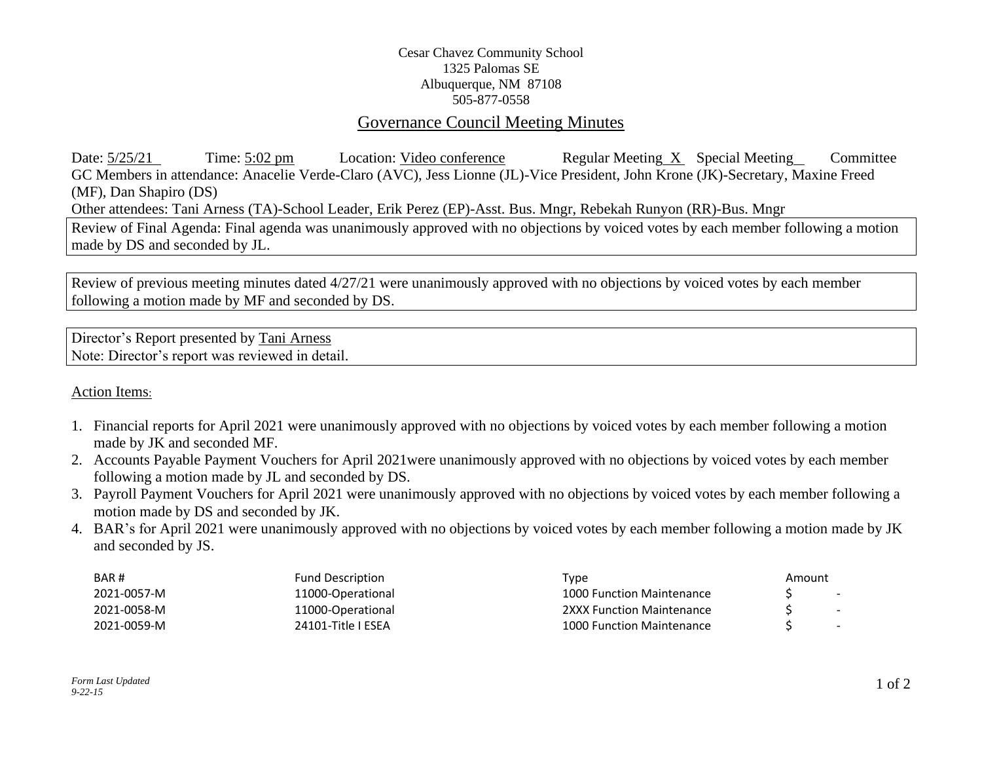## Cesar Chavez Community School 1325 Palomas SE Albuquerque, NM 87108 505-877-0558

## Governance Council Meeting Minutes

Date:  $\frac{5}{25/21}$  Time:  $\frac{5:02 \text{ pm}}{25/21}$  Location: Video conference Regular Meeting X Special Meeting Committee GC Members in attendance: Anacelie Verde-Claro (AVC), Jess Lionne (JL)-Vice President, John Krone (JK)-Secretary, Maxine Freed (MF), Dan Shapiro (DS) Other attendees: Tani Arness (TA)-School Leader, Erik Perez (EP)-Asst. Bus. Mngr, Rebekah Runyon (RR)-Bus. Mngr Review of Final Agenda: Final agenda was unanimously approved with no objections by voiced votes by each member following a motion made by DS and seconded by JL.

Review of previous meeting minutes dated 4/27/21 were unanimously approved with no objections by voiced votes by each member following a motion made by MF and seconded by DS.

Director's Report presented by Tani Arness Note: Director's report was reviewed in detail.

## Action Items:

- 1. Financial reports for April 2021 were unanimously approved with no objections by voiced votes by each member following a motion made by JK and seconded MF.
- 2. Accounts Payable Payment Vouchers for April 2021were unanimously approved with no objections by voiced votes by each member following a motion made by JL and seconded by DS.
- 3. Payroll Payment Vouchers for April 2021 were unanimously approved with no objections by voiced votes by each member following a motion made by DS and seconded by JK.
- 4. BAR's for April 2021 were unanimously approved with no objections by voiced votes by each member following a motion made by JK and seconded by JS.

| BAR#        | <b>Fund Description</b> | Type                      | Amount |        |
|-------------|-------------------------|---------------------------|--------|--------|
| 2021-0057-M | 11000-Operational       | 1000 Function Maintenance |        | -      |
| 2021-0058-M | 11000-Operational       | 2XXX Function Maintenance |        | $\sim$ |
| 2021-0059-M | 24101-Title   ESEA      | 1000 Function Maintenance |        | $\sim$ |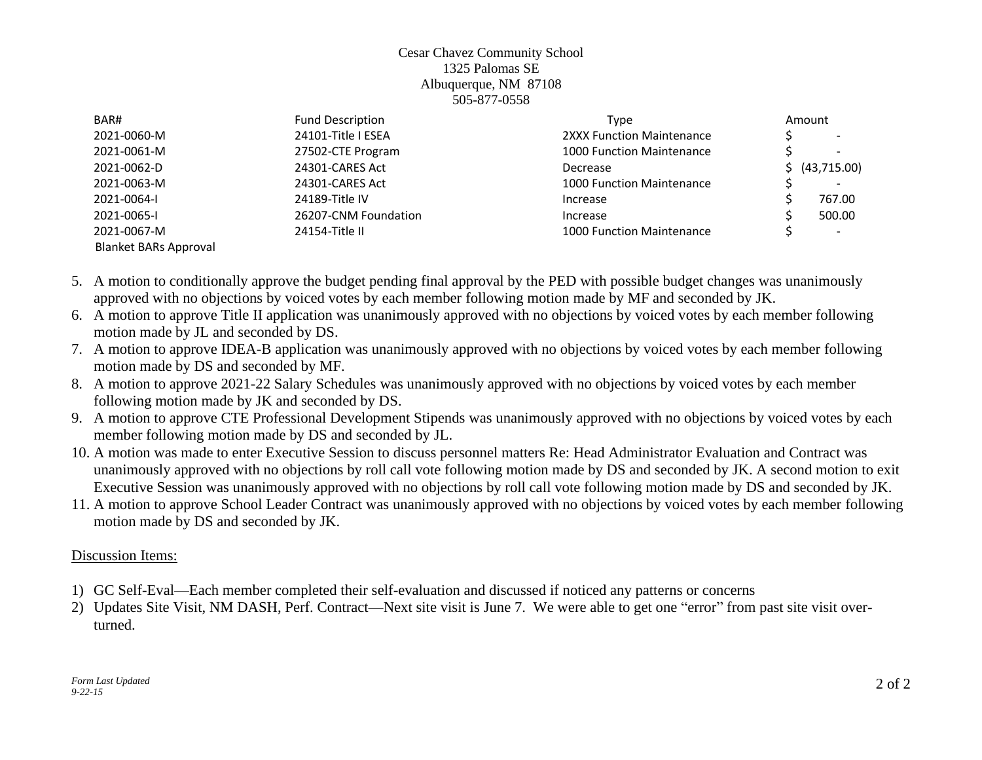### Cesar Chavez Community School 1325 Palomas SE Albuquerque, NM 87108 505-877-0558

| BAR#                         | <b>Fund Description</b> | Amount<br>Type                   |  |                          |
|------------------------------|-------------------------|----------------------------------|--|--------------------------|
| 2021-0060-M                  | 24101-Title I ESEA      | 2XXX Function Maintenance        |  | $\overline{\phantom{0}}$ |
| 2021-0061-M                  | 27502-CTE Program       | <b>1000 Function Maintenance</b> |  |                          |
| 2021-0062-D                  | 24301-CARES Act         | Decrease                         |  | \$ (43,715.00)           |
| 2021-0063-M                  | 24301-CARES Act         | <b>1000 Function Maintenance</b> |  |                          |
| 2021-0064-I                  | 24189-Title IV          | Increase                         |  | 767.00                   |
| 2021-0065-1                  | 26207-CNM Foundation    | Increase                         |  | 500.00                   |
| 2021-0067-M                  | 24154-Title II          | <b>1000 Function Maintenance</b> |  | $\overline{\phantom{a}}$ |
| <b>Blanket BARs Approval</b> |                         |                                  |  |                          |

- 5. A motion to conditionally approve the budget pending final approval by the PED with possible budget changes was unanimously approved with no objections by voiced votes by each member following motion made by MF and seconded by JK.
- 6. A motion to approve Title II application was unanimously approved with no objections by voiced votes by each member following motion made by JL and seconded by DS.
- 7. A motion to approve IDEA-B application was unanimously approved with no objections by voiced votes by each member following motion made by DS and seconded by MF.
- 8. A motion to approve 2021-22 Salary Schedules was unanimously approved with no objections by voiced votes by each member following motion made by JK and seconded by DS.
- 9. A motion to approve CTE Professional Development Stipends was unanimously approved with no objections by voiced votes by each member following motion made by DS and seconded by JL.
- 10. A motion was made to enter Executive Session to discuss personnel matters Re: Head Administrator Evaluation and Contract was unanimously approved with no objections by roll call vote following motion made by DS and seconded by JK. A second motion to exit Executive Session was unanimously approved with no objections by roll call vote following motion made by DS and seconded by JK.
- 11. A motion to approve School Leader Contract was unanimously approved with no objections by voiced votes by each member following motion made by DS and seconded by JK.

# Discussion Items:

- 1) GC Self-Eval—Each member completed their self-evaluation and discussed if noticed any patterns or concerns
- 2) Updates Site Visit, NM DASH, Perf. Contract—Next site visit is June 7. We were able to get one "error" from past site visit overturned.